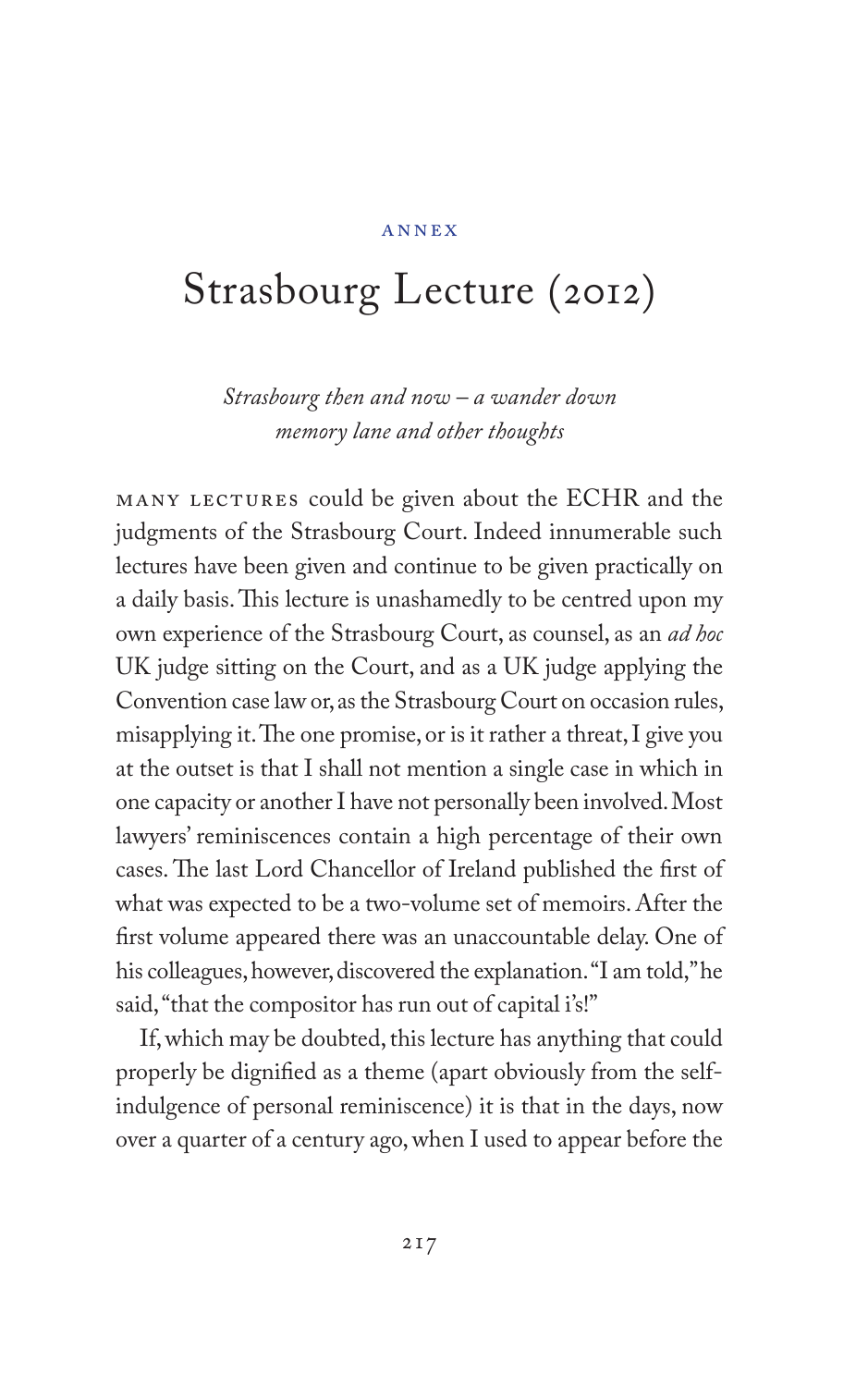## Annex

## Strasbourg Lecture (2012)

*Strasbourg then and now – a wander down memory lane and other thoughts*

MANY LECTURES could be given about the ECHR and the judgments of the Strasbourg Court. Indeed innumerable such lectures have been given and continue to be given practically on a daily basis. This lecture is unashamedly to be centred upon my own experience of the Strasbourg Court, as counsel, as an *ad hoc* UK judge sitting on the Court, and as a UK judge applying the Convention case law or, as the Strasbourg Court on occasion rules, misapplying it. The one promise, or is it rather a threat, I give you at the outset is that I shall not mention a single case in which in one capacity or another I have not personally been involved. Most lawyers' reminiscences contain a high percentage of their own cases. The last Lord Chancellor of Ireland published the first of what was expected to be a two-volume set of memoirs. After the first volume appeared there was an unaccountable delay. One of his colleagues, however, discovered the explanation. "I am told," he said, "that the compositor has run out of capital i's!"

If, which may be doubted, this lecture has anything that could properly be dignified as a theme (apart obviously from the selfindulgence of personal reminiscence) it is that in the days, now over a quarter of a century ago, when I used to appear before the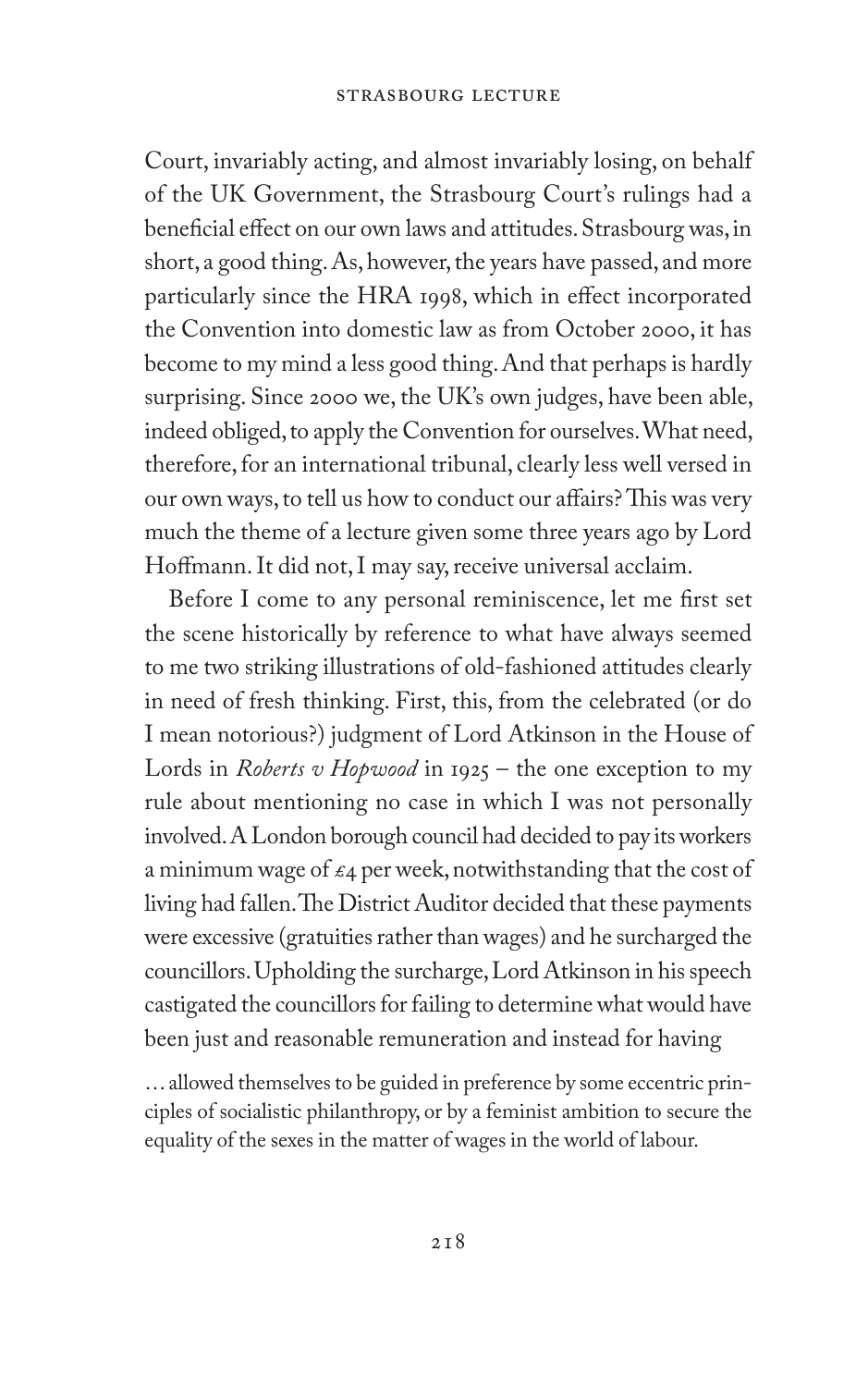Court, invariably acting, and almost invariably losing, on behalf of the UK Government, the Strasbourg Court's rulings had a beneficial effect on our own laws and attitudes. Strasbourg was, in short, a good thing. As, however, the years have passed, and more particularly since the HRA 1998, which in effect incorporated the Convention into domestic law as from October 2000, it has become to my mind a less good thing. And that perhaps is hardly surprising. Since 2000 we, the UK's own judges, have been able, indeed obliged, to apply the Convention for ourselves. What need, therefore, for an international tribunal, clearly less well versed in our own ways, to tell us how to conduct our affairs? This was very much the theme of a lecture given some three years ago by Lord Hoffmann. It did not, I may say, receive universal acclaim.

Before I come to any personal reminiscence, let me first set the scene historically by reference to what have always seemed to me two striking illustrations of old-fashioned attitudes clearly in need of fresh thinking. First, this, from the celebrated (or do I mean notorious?) judgment of Lord Atkinson in the House of Lords in *Roberts v Hopwood* in 1925 – the one exception to my rule about mentioning no case in which I was not personally involved. A London borough council had decided to pay its workers a minimum wage of  $\epsilon_4$  per week, notwithstanding that the cost of living had fallen. The District Auditor decided that these payments were excessive (gratuities rather than wages) and he surcharged the councillors. Upholding the surcharge, Lord Atkinson in his speech castigated the councillors for failing to determine what would have been just and reasonable remuneration and instead for having

… allowed themselves to be guided in preference by some eccentric principles of socialistic philanthropy, or by a feminist ambition to secure the equality of the sexes in the matter of wages in the world of labour.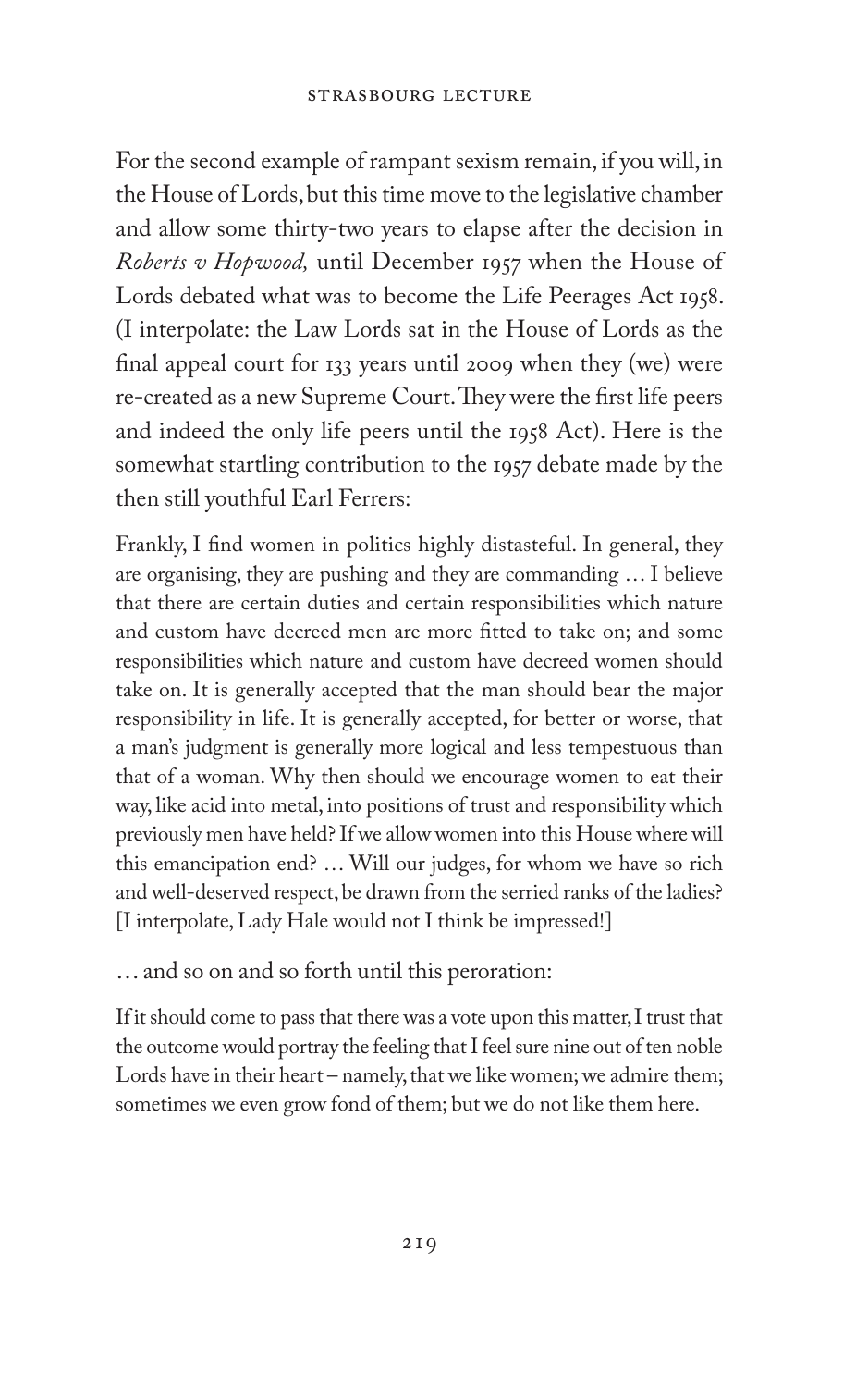For the second example of rampant sexism remain, if you will, in the House of Lords, but this time move to the legislative chamber and allow some thirty-two years to elapse after the decision in *Roberts v Hopwood,* until December 1957 when the House of Lords debated what was to become the Life Peerages Act 1958. (I interpolate: the Law Lords sat in the House of Lords as the final appeal court for 133 years until 2009 when they (we) were re-created as a new Supreme Court. They were the first life peers and indeed the only life peers until the 1958 Act). Here is the somewhat startling contribution to the 1957 debate made by the then still youthful Earl Ferrers:

Frankly, I find women in politics highly distasteful. In general, they are organising, they are pushing and they are commanding … I believe that there are certain duties and certain responsibilities which nature and custom have decreed men are more fitted to take on; and some responsibilities which nature and custom have decreed women should take on. It is generally accepted that the man should bear the major responsibility in life. It is generally accepted, for better or worse, that a man's judgment is generally more logical and less tempestuous than that of a woman. Why then should we encourage women to eat their way, like acid into metal, into positions of trust and responsibility which previously men have held? If we allow women into this House where will this emancipation end? … Will our judges, for whom we have so rich and well-deserved respect, be drawn from the serried ranks of the ladies? [I interpolate, Lady Hale would not I think be impressed!]

… and so on and so forth until this peroration:

If it should come to pass that there was a vote upon this matter, I trust that the outcome would portray the feeling that I feel sure nine out of ten noble Lords have in their heart – namely, that we like women; we admire them; sometimes we even grow fond of them; but we do not like them here.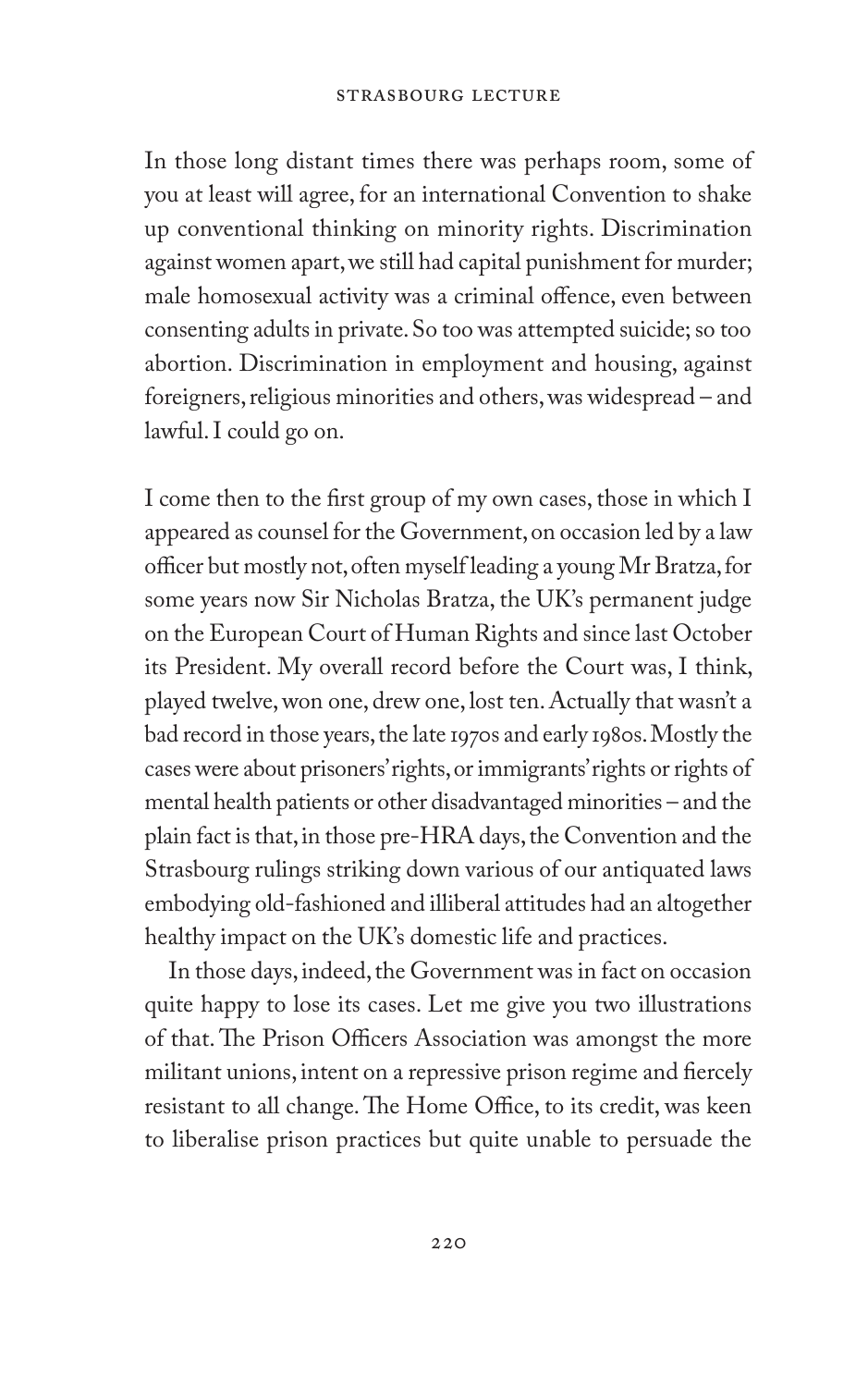In those long distant times there was perhaps room, some of you at least will agree, for an international Convention to shake up conventional thinking on minority rights. Discrimination against women apart, we still had capital punishment for murder; male homosexual activity was a criminal offence, even between consenting adults in private. So too was attempted suicide; so too abortion. Discrimination in employment and housing, against foreigners, religious minorities and others, was widespread – and lawful. I could go on.

I come then to the first group of my own cases, those in which I appeared as counsel for the Government, on occasion led by a law officer but mostly not, often myself leading a young Mr Bratza, for some years now Sir Nicholas Bratza, the UK's permanent judge on the European Court of Human Rights and since last October its President. My overall record before the Court was, I think, played twelve, won one, drew one, lost ten. Actually that wasn't a bad record in those years, the late 1970s and early 1980s. Mostly the cases were about prisoners' rights, or immigrants' rights or rights of mental health patients or other disadvantaged minorities – and the plain fact is that, in those pre-HRA days, the Convention and the Strasbourg rulings striking down various of our antiquated laws embodying old-fashioned and illiberal attitudes had an altogether healthy impact on the UK's domestic life and practices.

In those days, indeed, the Government was in fact on occasion quite happy to lose its cases. Let me give you two illustrations of that. The Prison Officers Association was amongst the more militant unions, intent on a repressive prison regime and fiercely resistant to all change. The Home Office, to its credit, was keen to liberalise prison practices but quite unable to persuade the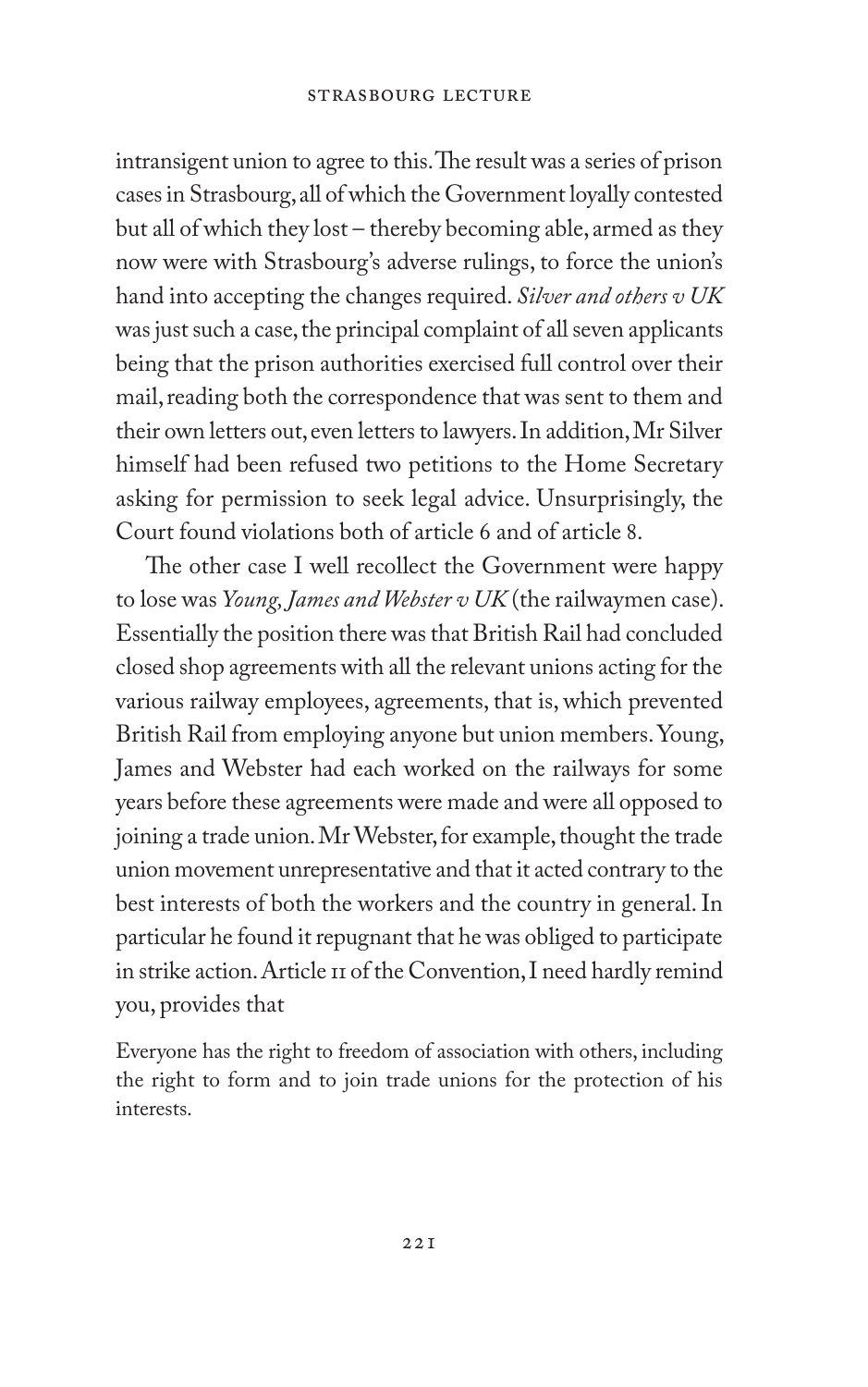intransigent union to agree to this. The result was a series of prison cases in Strasbourg, all of which the Government loyally contested but all of which they lost – thereby becoming able, armed as they now were with Strasbourg's adverse rulings, to force the union's hand into accepting the changes required. *Silver and others v UK* was just such a case, the principal complaint of all seven applicants being that the prison authorities exercised full control over their mail, reading both the correspondence that was sent to them and their own letters out, even letters to lawyers. In addition, Mr Silver himself had been refused two petitions to the Home Secretary asking for permission to seek legal advice. Unsurprisingly, the Court found violations both of article 6 and of article 8.

 The other case I well recollect the Government were happy to lose was *Young, James and Webster v UK* (the railwaymen case). Essentially the position there was that British Rail had concluded closed shop agreements with all the relevant unions acting for the various railway employees, agreements, that is, which prevented British Rail from employing anyone but union members. Young, James and Webster had each worked on the railways for some years before these agreements were made and were all opposed to joining a trade union. Mr Webster, for example, thought the trade union movement unrepresentative and that it acted contrary to the best interests of both the workers and the country in general. In particular he found it repugnant that he was obliged to participate in strike action. Article 11 of the Convention, I need hardly remind you, provides that

Everyone has the right to freedom of association with others, including the right to form and to join trade unions for the protection of his interests.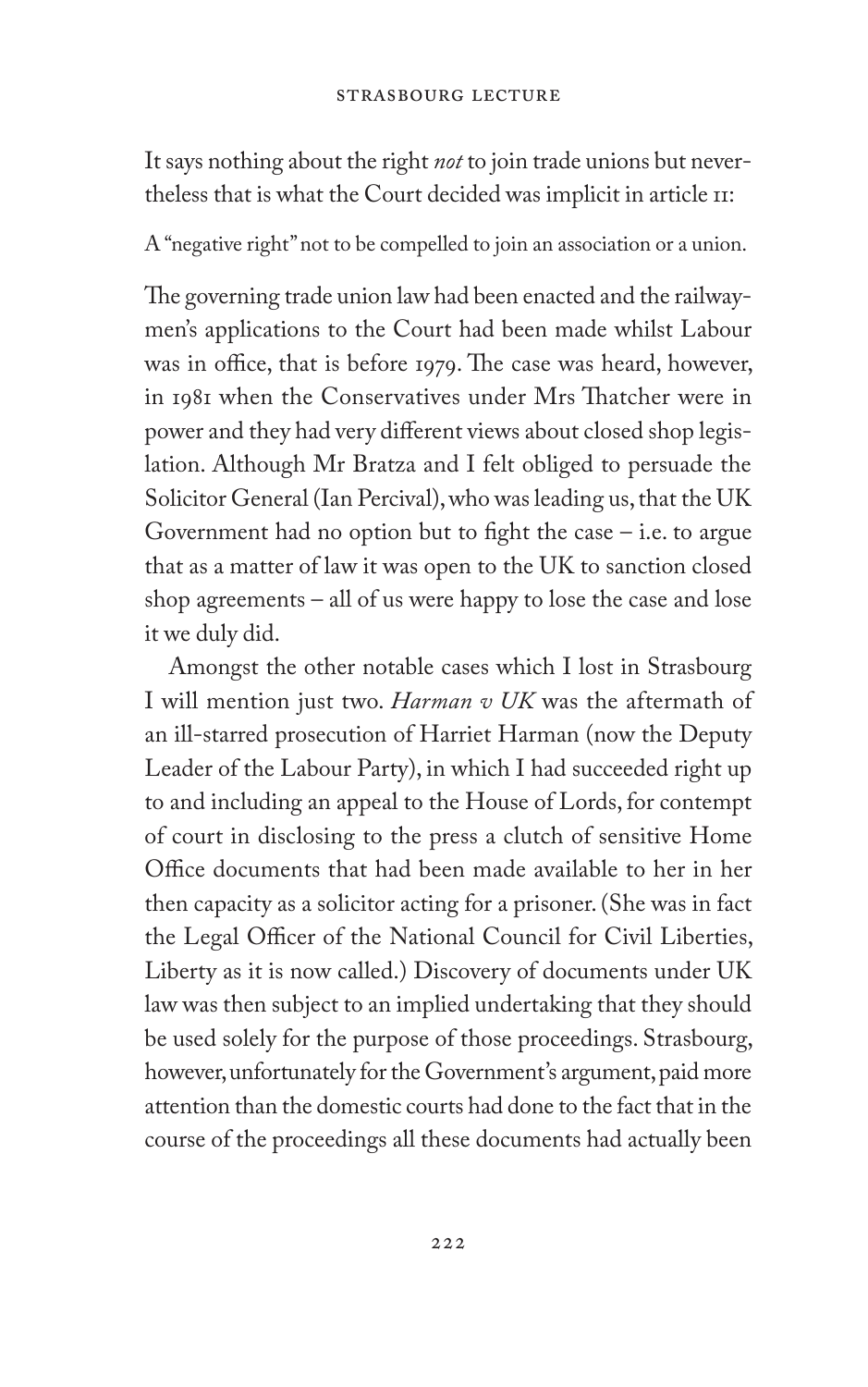It says nothing about the right *not* to join trade unions but nevertheless that is what the Court decided was implicit in article 11:

A "negative right" not to be compelled to join an association or a union.

The governing trade union law had been enacted and the railwaymen's applications to the Court had been made whilst Labour was in office, that is before 1979. The case was heard, however, in 1981 when the Conservatives under Mrs Thatcher were in power and they had very different views about closed shop legislation. Although Mr Bratza and I felt obliged to persuade the Solicitor General (Ian Percival), who was leading us, that the UK Government had no option but to fight the case – i.e. to argue that as a matter of law it was open to the UK to sanction closed shop agreements – all of us were happy to lose the case and lose it we duly did.

Amongst the other notable cases which I lost in Strasbourg I will mention just two. *Harman v UK* was the aftermath of an ill-starred prosecution of Harriet Harman (now the Deputy Leader of the Labour Party), in which I had succeeded right up to and including an appeal to the House of Lords, for contempt of court in disclosing to the press a clutch of sensitive Home Office documents that had been made available to her in her then capacity as a solicitor acting for a prisoner. (She was in fact the Legal Officer of the National Council for Civil Liberties, Liberty as it is now called.) Discovery of documents under UK law was then subject to an implied undertaking that they should be used solely for the purpose of those proceedings. Strasbourg, however, unfortunately for the Government's argument, paid more attention than the domestic courts had done to the fact that in the course of the proceedings all these documents had actually been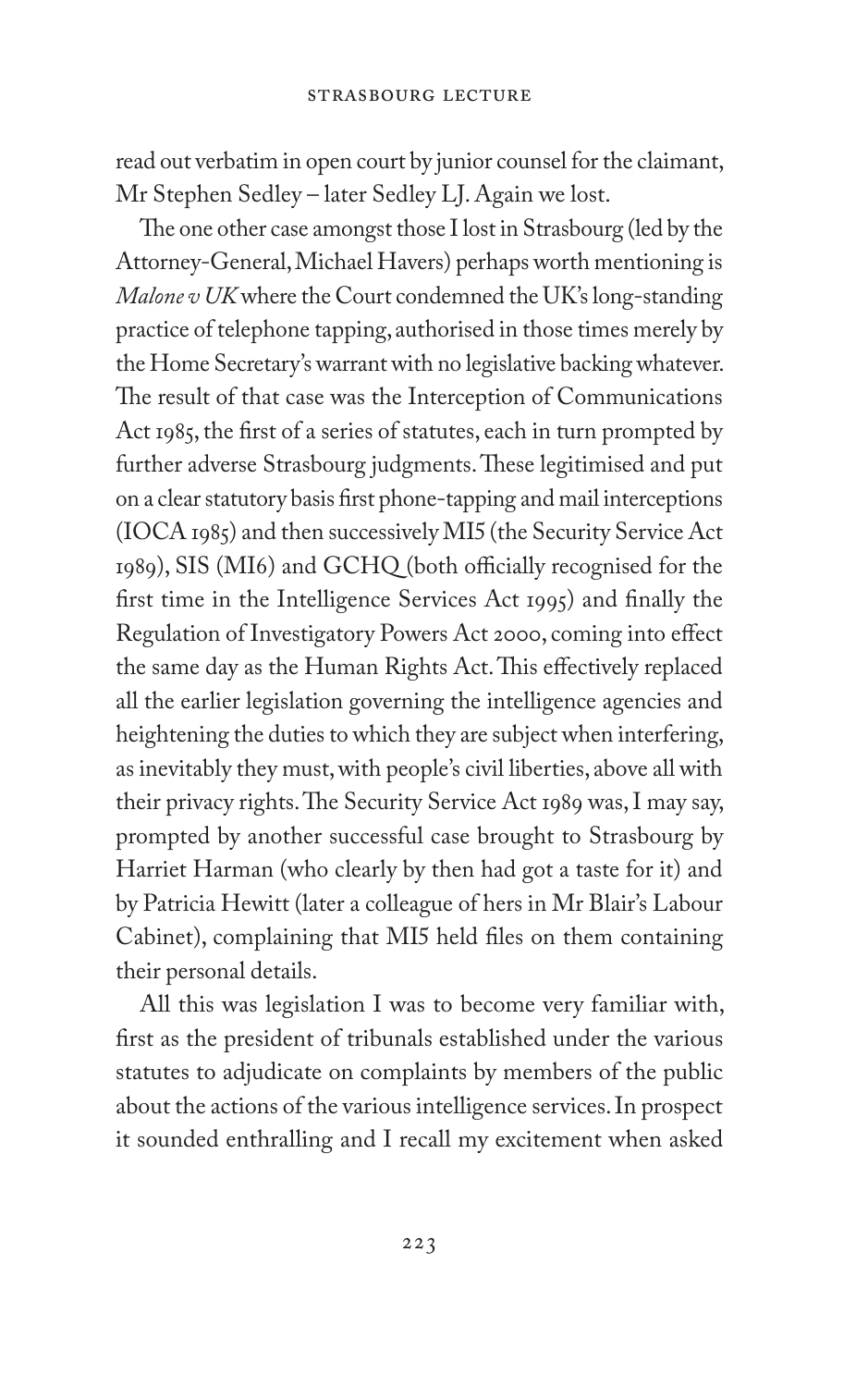read out verbatim in open court by junior counsel for the claimant, Mr Stephen Sedley – later Sedley LJ. Again we lost.

The one other case amongst those I lost in Strasbourg (led by the Attorney-General, Michael Havers) perhaps worth mentioning is *Malone v UK* where the Court condemned the UK's long-standing practice of telephone tapping, authorised in those times merely by the Home Secretary's warrant with no legislative backing whatever. The result of that case was the Interception of Communications Act 1985, the first of a series of statutes, each in turn prompted by further adverse Strasbourg judgments. These legitimised and put on a clear statutory basis first phone-tapping and mail interceptions (IOCA 1985) and then successively MI5 (the Security Service Act 1989), SIS (MI6) and GCHQ (both officially recognised for the first time in the Intelligence Services Act 1995) and finally the Regulation of Investigatory Powers Act 2000, coming into effect the same day as the Human Rights Act. This effectively replaced all the earlier legislation governing the intelligence agencies and heightening the duties to which they are subject when interfering, as inevitably they must, with people's civil liberties, above all with their privacy rights. The Security Service Act 1989 was, I may say, prompted by another successful case brought to Strasbourg by Harriet Harman (who clearly by then had got a taste for it) and by Patricia Hewitt (later a colleague of hers in Mr Blair's Labour Cabinet), complaining that MI5 held files on them containing their personal details.

All this was legislation I was to become very familiar with, first as the president of tribunals established under the various statutes to adjudicate on complaints by members of the public about the actions of the various intelligence services. In prospect it sounded enthralling and I recall my excitement when asked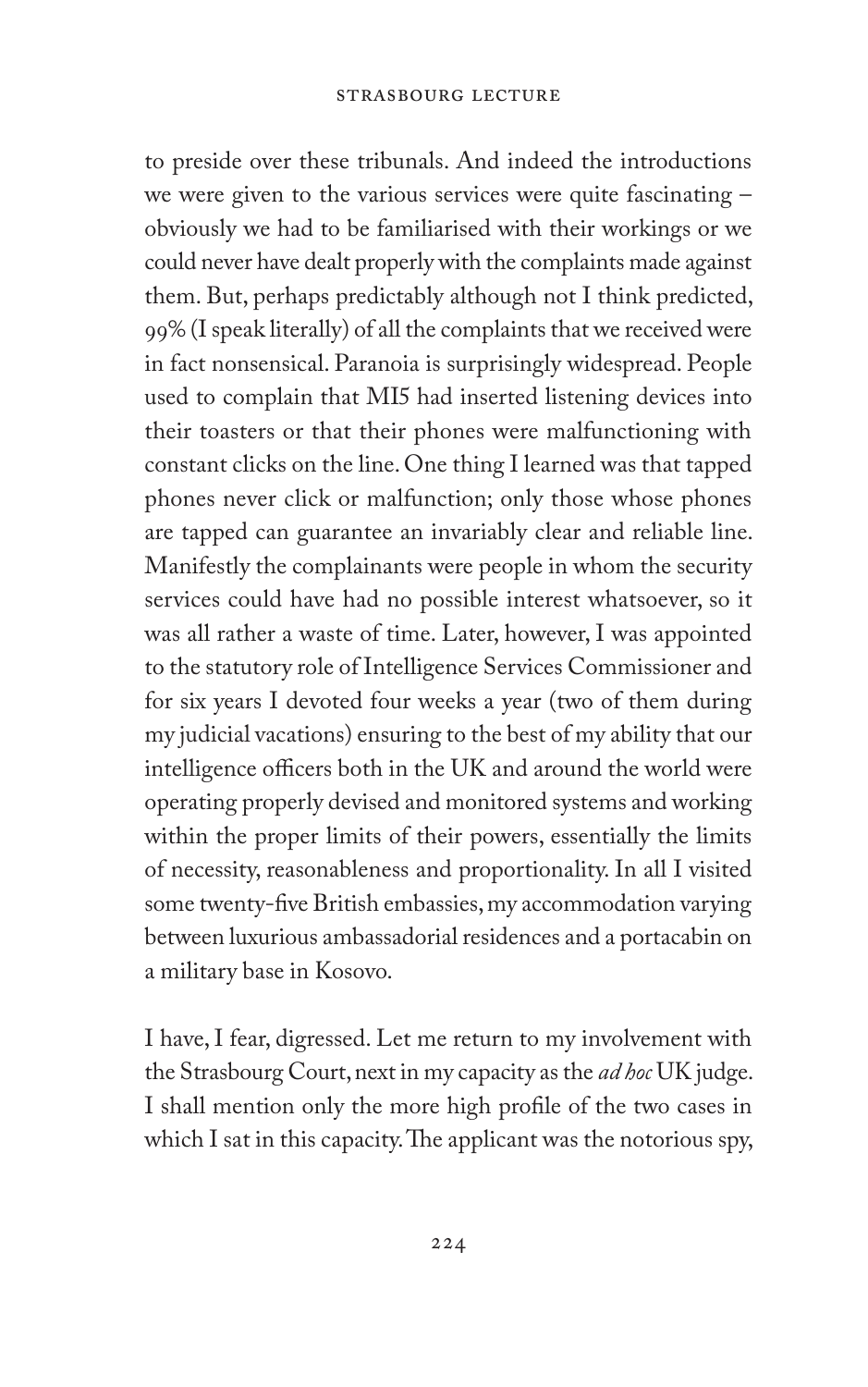to preside over these tribunals. And indeed the introductions we were given to the various services were quite fascinating – obviously we had to be familiarised with their workings or we could never have dealt properly with the complaints made against them. But, perhaps predictably although not I think predicted, 99% (I speak literally) of all the complaints that we received were in fact nonsensical. Paranoia is surprisingly widespread. People used to complain that MI5 had inserted listening devices into their toasters or that their phones were malfunctioning with constant clicks on the line. One thing I learned was that tapped phones never click or malfunction; only those whose phones are tapped can guarantee an invariably clear and reliable line. Manifestly the complainants were people in whom the security services could have had no possible interest whatsoever, so it was all rather a waste of time. Later, however, I was appointed to the statutory role of Intelligence Services Commissioner and for six years I devoted four weeks a year (two of them during my judicial vacations) ensuring to the best of my ability that our intelligence officers both in the UK and around the world were operating properly devised and monitored systems and working within the proper limits of their powers, essentially the limits of necessity, reasonableness and proportionality. In all I visited some twenty-five British embassies, my accommodation varying between luxurious ambassadorial residences and a portacabin on a military base in Kosovo.

I have, I fear, digressed. Let me return to my involvement with the Strasbourg Court, next in my capacity as the *ad hoc* UK judge. I shall mention only the more high profile of the two cases in which I sat in this capacity. The applicant was the notorious spy,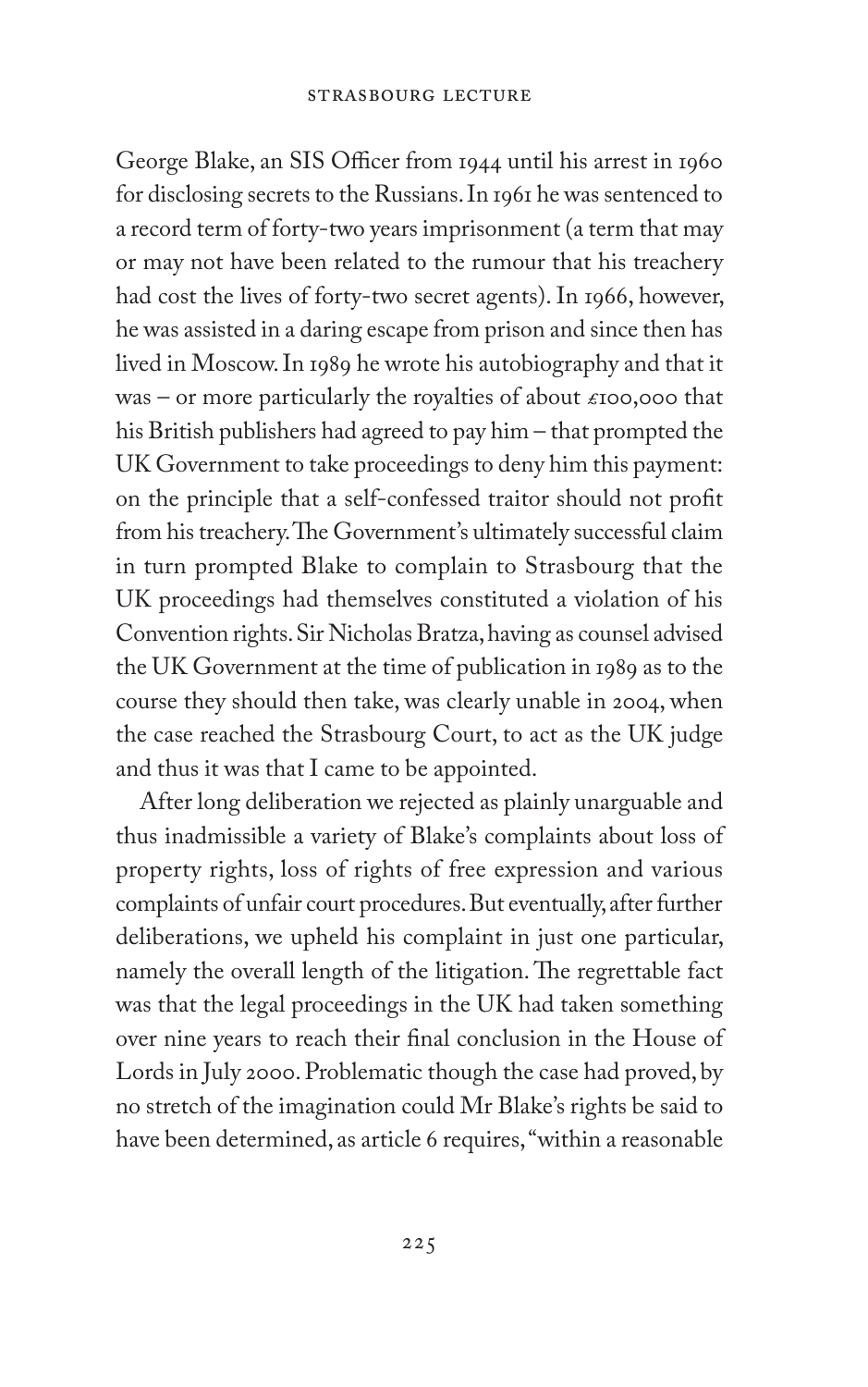George Blake, an SIS Officer from 1944 until his arrest in 1960 for disclosing secrets to the Russians. In 1961 he was sentenced to a record term of forty-two years imprisonment (a term that may or may not have been related to the rumour that his treachery had cost the lives of forty-two secret agents). In 1966, however, he was assisted in a daring escape from prison and since then has lived in Moscow. In 1989 he wrote his autobiography and that it was – or more particularly the royalties of about  $\epsilon$ 100,000 that his British publishers had agreed to pay him – that prompted the UK Government to take proceedings to deny him this payment: on the principle that a self-confessed traitor should not profit from his treachery. The Government's ultimately successful claim in turn prompted Blake to complain to Strasbourg that the UK proceedings had themselves constituted a violation of his Convention rights. Sir Nicholas Bratza, having as counsel advised the UK Government at the time of publication in 1989 as to the course they should then take, was clearly unable in 2004, when the case reached the Strasbourg Court, to act as the UK judge and thus it was that I came to be appointed.

After long deliberation we rejected as plainly unarguable and thus inadmissible a variety of Blake's complaints about loss of property rights, loss of rights of free expression and various complaints of unfair court procedures. But eventually, after further deliberations, we upheld his complaint in just one particular, namely the overall length of the litigation. The regrettable fact was that the legal proceedings in the UK had taken something over nine years to reach their final conclusion in the House of Lords in July 2000. Problematic though the case had proved, by no stretch of the imagination could Mr Blake's rights be said to have been determined, as article 6 requires, "within a reasonable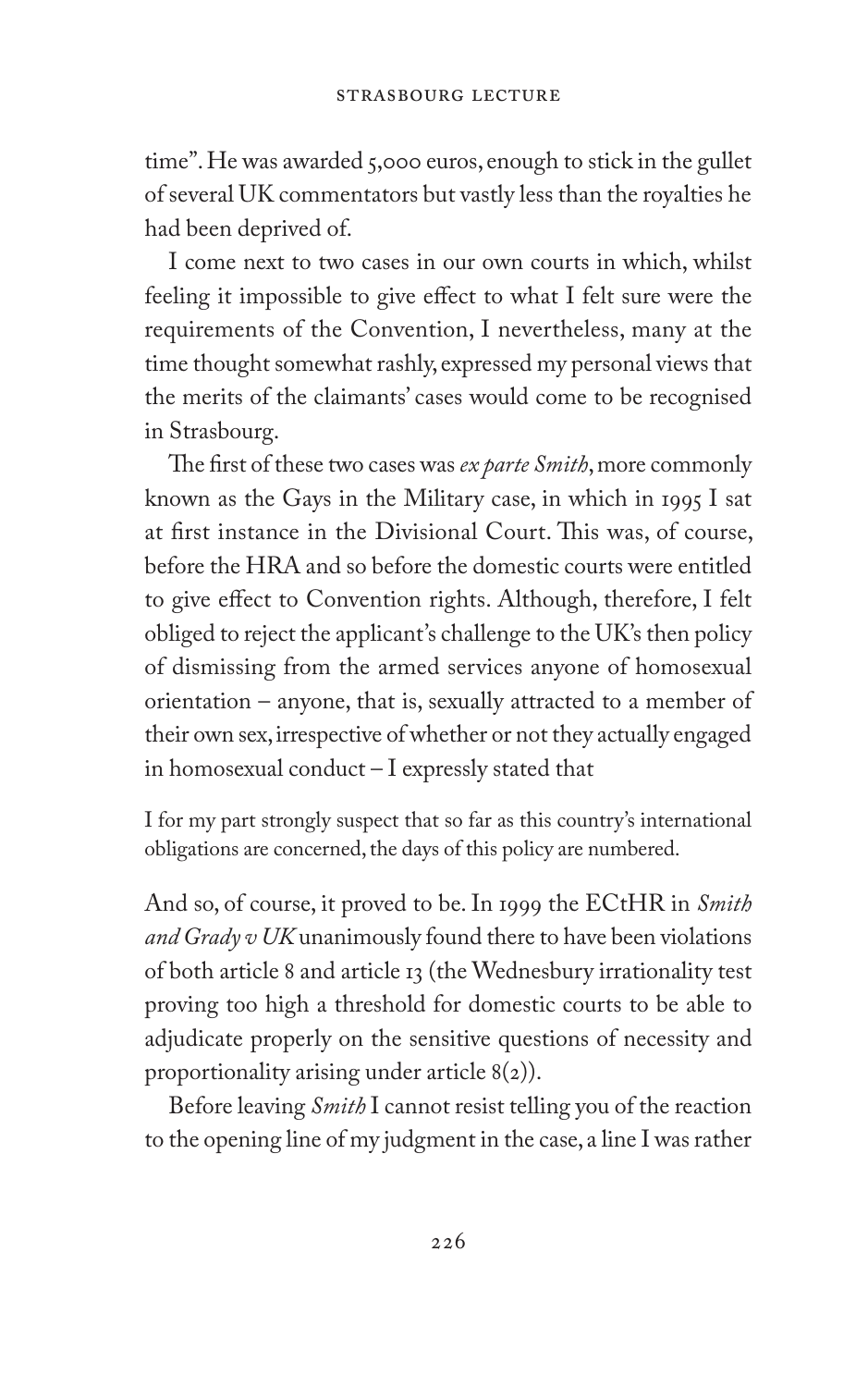time". He was awarded 5,000 euros, enough to stick in the gullet of several UK commentators but vastly less than the royalties he had been deprived of.

I come next to two cases in our own courts in which, whilst feeling it impossible to give effect to what I felt sure were the requirements of the Convention, I nevertheless, many at the time thought somewhat rashly, expressed my personal views that the merits of the claimants' cases would come to be recognised in Strasbourg.

The first of these two cases was *ex parte Smith*, more commonly known as the Gays in the Military case, in which in 1995 I sat at first instance in the Divisional Court. This was, of course, before the HRA and so before the domestic courts were entitled to give effect to Convention rights. Although, therefore, I felt obliged to reject the applicant's challenge to the UK's then policy of dismissing from the armed services anyone of homosexual orientation – anyone, that is, sexually attracted to a member of their own sex, irrespective of whether or not they actually engaged in homosexual conduct – I expressly stated that

I for my part strongly suspect that so far as this country's international obligations are concerned, the days of this policy are numbered.

And so, of course, it proved to be. In 1999 the ECtHR in *Smith and Grady v UK* unanimously found there to have been violations of both article 8 and article 13 (the Wednesbury irrationality test proving too high a threshold for domestic courts to be able to adjudicate properly on the sensitive questions of necessity and proportionality arising under article 8(2)).

Before leaving *Smith* I cannot resist telling you of the reaction to the opening line of my judgment in the case, a line I was rather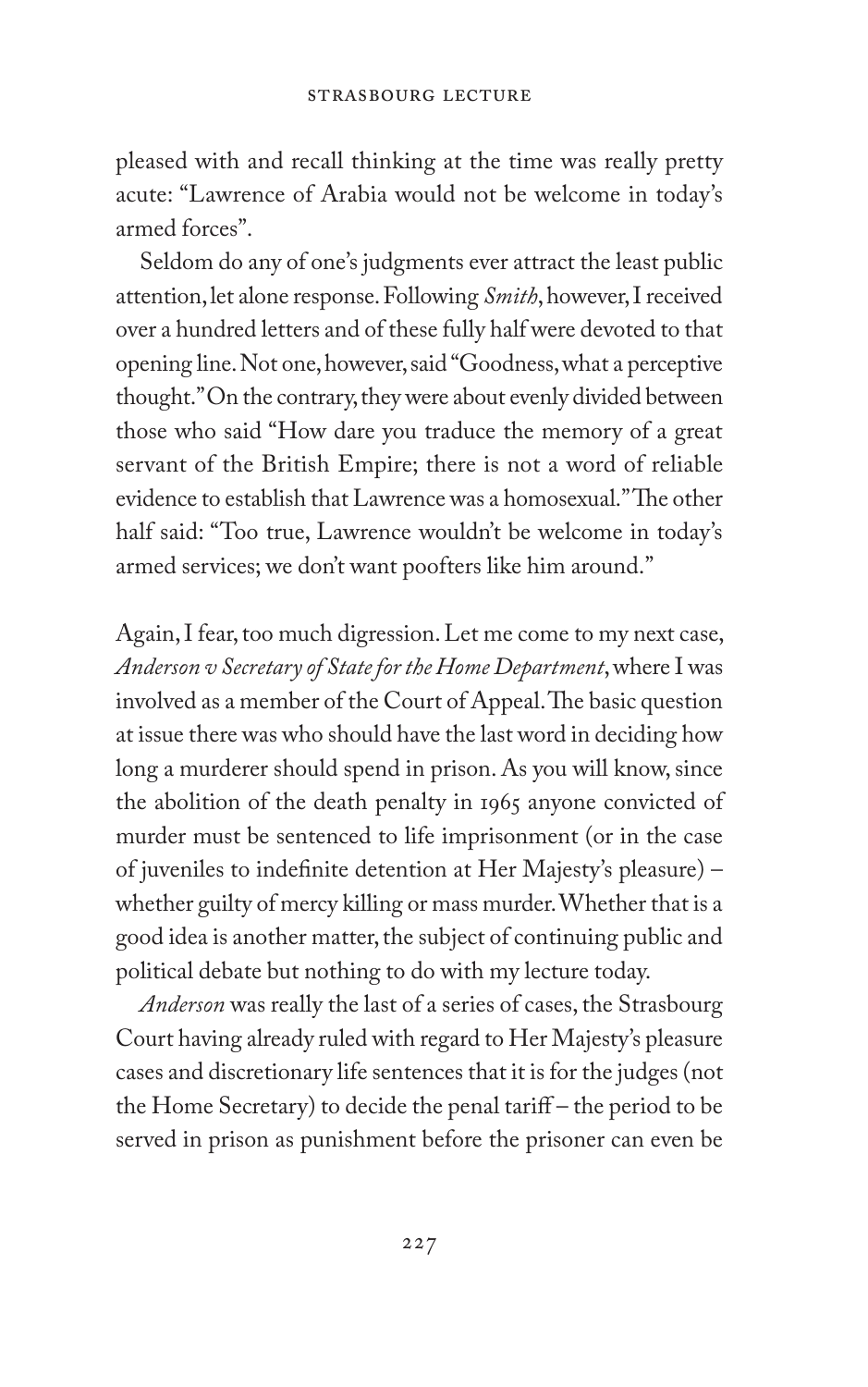pleased with and recall thinking at the time was really pretty acute: "Lawrence of Arabia would not be welcome in today's armed forces".

Seldom do any of one's judgments ever attract the least public attention, let alone response. Following *Smith*, however, I received over a hundred letters and of these fully half were devoted to that opening line. Not one, however, said "Goodness, what a perceptive thought." On the contrary, they were about evenly divided between those who said "How dare you traduce the memory of a great servant of the British Empire; there is not a word of reliable evidence to establish that Lawrence was a homosexual."The other half said: "Too true, Lawrence wouldn't be welcome in today's armed services; we don't want poofters like him around."

Again, I fear, too much digression. Let me come to my next case, *Anderson v Secretary of State for the Home Department*, where I was involved as a member of the Court of Appeal. The basic question at issue there was who should have the last word in deciding how long a murderer should spend in prison. As you will know, since the abolition of the death penalty in 1965 anyone convicted of murder must be sentenced to life imprisonment (or in the case of juveniles to indefinite detention at Her Majesty's pleasure) – whether guilty of mercy killing or mass murder. Whether that is a good idea is another matter, the subject of continuing public and political debate but nothing to do with my lecture today.

*Anderson* was really the last of a series of cases, the Strasbourg Court having already ruled with regard to Her Majesty's pleasure cases and discretionary life sentences that it is for the judges (not the Home Secretary) to decide the penal tariff – the period to be served in prison as punishment before the prisoner can even be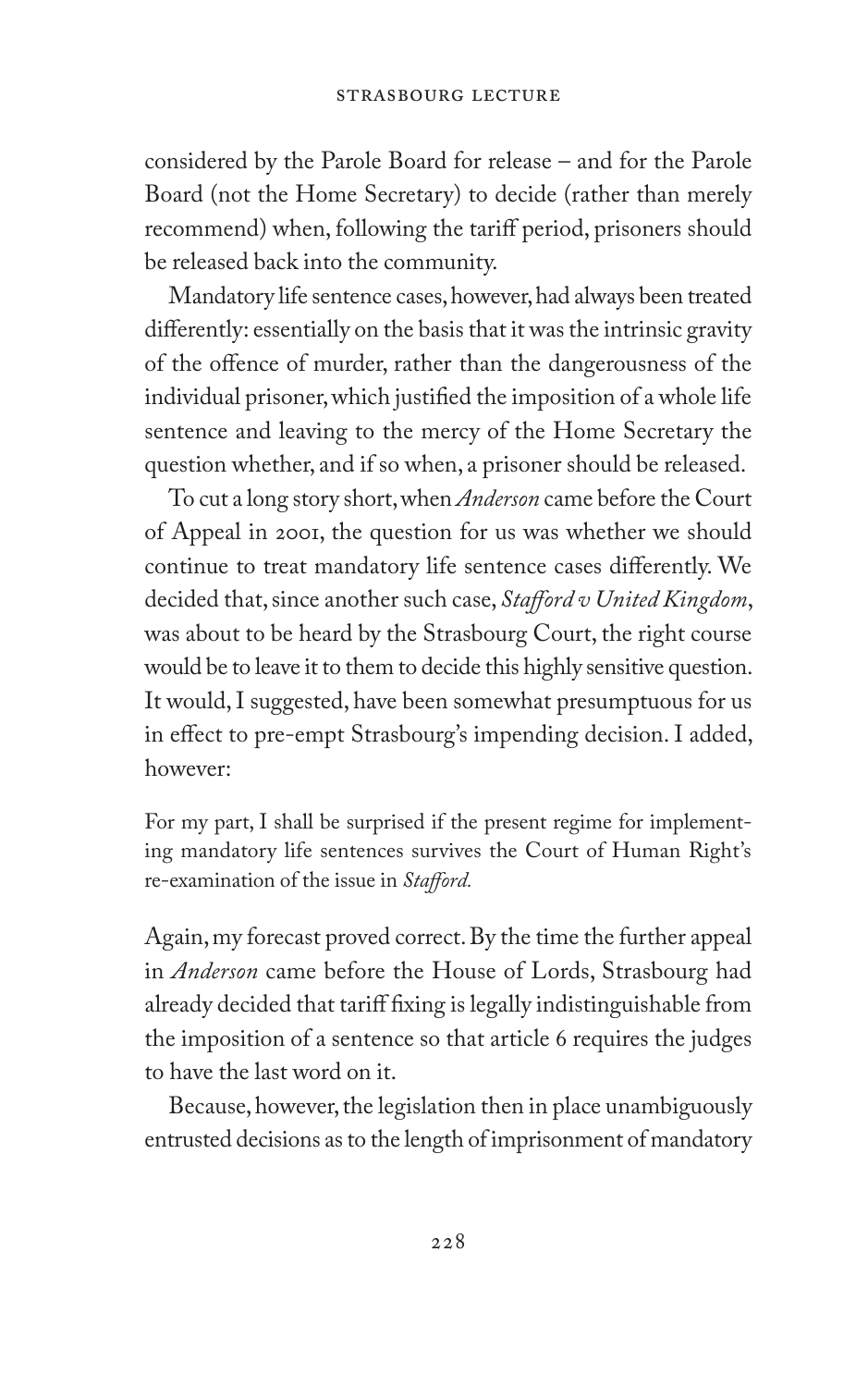considered by the Parole Board for release – and for the Parole Board (not the Home Secretary) to decide (rather than merely recommend) when, following the tariff period, prisoners should be released back into the community.

Mandatory life sentence cases, however, had always been treated differently: essentially on the basis that it was the intrinsic gravity of the offence of murder, rather than the dangerousness of the individual prisoner, which justified the imposition of a whole life sentence and leaving to the mercy of the Home Secretary the question whether, and if so when, a prisoner should be released.

To cut a long story short, when *Anderson* came before the Court of Appeal in 2001, the question for us was whether we should continue to treat mandatory life sentence cases differently. We decided that, since another such case, *Stafford v United Kingdom*, was about to be heard by the Strasbourg Court, the right course would be to leave it to them to decide this highly sensitive question. It would, I suggested, have been somewhat presumptuous for us in effect to pre-empt Strasbourg's impending decision. I added, however:

For my part, I shall be surprised if the present regime for implementing mandatory life sentences survives the Court of Human Right's re-examination of the issue in *Stafford.*

Again, my forecast proved correct. By the time the further appeal in *Anderson* came before the House of Lords, Strasbourg had already decided that tariff fixing is legally indistinguishable from the imposition of a sentence so that article 6 requires the judges to have the last word on it.

Because, however, the legislation then in place unambiguously entrusted decisions as to the length of imprisonment of mandatory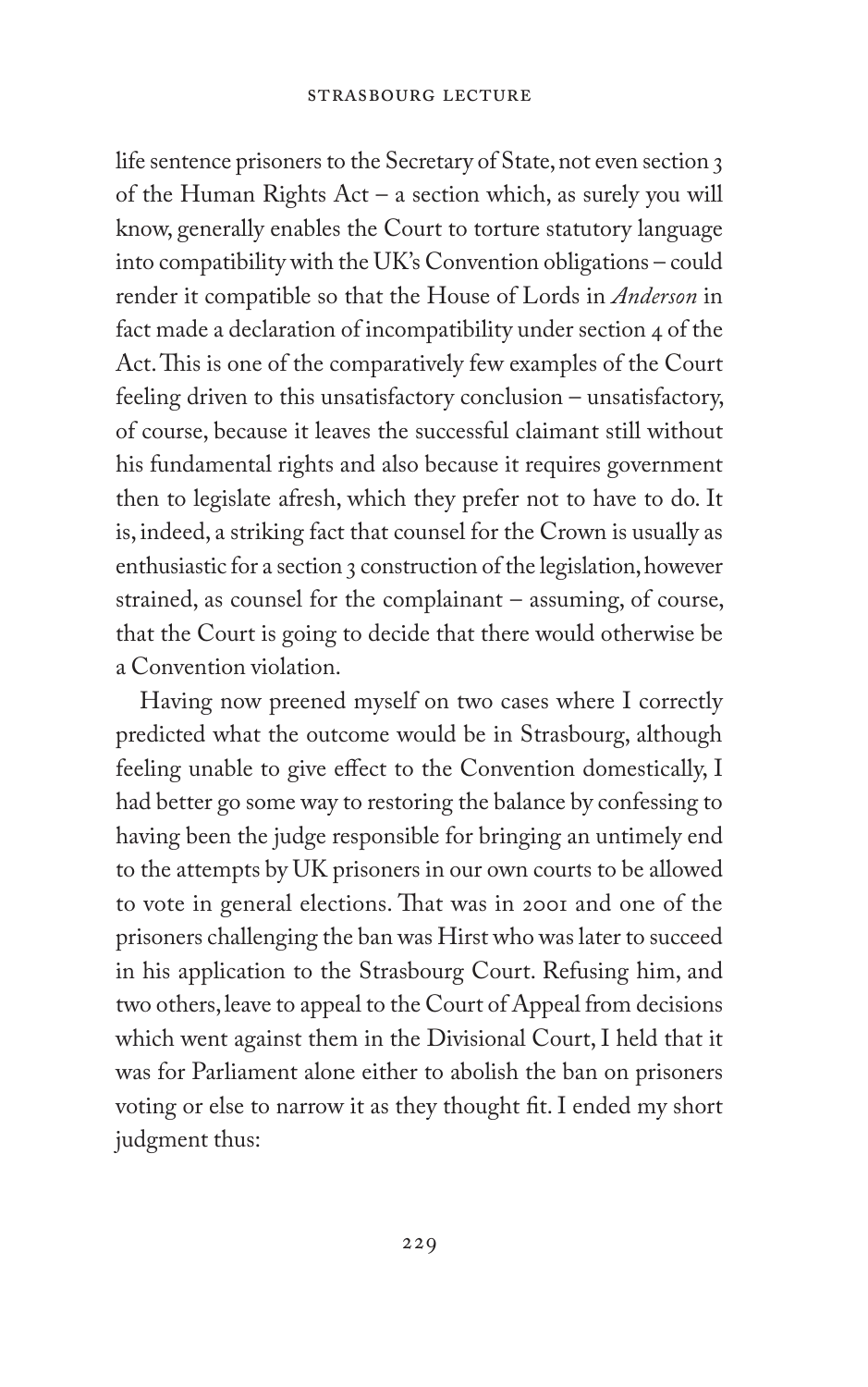life sentence prisoners to the Secretary of State, not even section 3 of the Human Rights Act – a section which, as surely you will know, generally enables the Court to torture statutory language into compatibility with the UK's Convention obligations – could render it compatible so that the House of Lords in *Anderson* in fact made a declaration of incompatibility under section 4 of the Act. This is one of the comparatively few examples of the Court feeling driven to this unsatisfactory conclusion – unsatisfactory, of course, because it leaves the successful claimant still without his fundamental rights and also because it requires government then to legislate afresh, which they prefer not to have to do. It is, indeed, a striking fact that counsel for the Crown is usually as enthusiastic for a section 3 construction of the legislation, however strained, as counsel for the complainant – assuming, of course, that the Court is going to decide that there would otherwise be a Convention violation.

Having now preened myself on two cases where I correctly predicted what the outcome would be in Strasbourg, although feeling unable to give effect to the Convention domestically, I had better go some way to restoring the balance by confessing to having been the judge responsible for bringing an untimely end to the attempts by UK prisoners in our own courts to be allowed to vote in general elections. That was in 2001 and one of the prisoners challenging the ban was Hirst who was later to succeed in his application to the Strasbourg Court. Refusing him, and two others, leave to appeal to the Court of Appeal from decisions which went against them in the Divisional Court, I held that it was for Parliament alone either to abolish the ban on prisoners voting or else to narrow it as they thought fit. I ended my short judgment thus: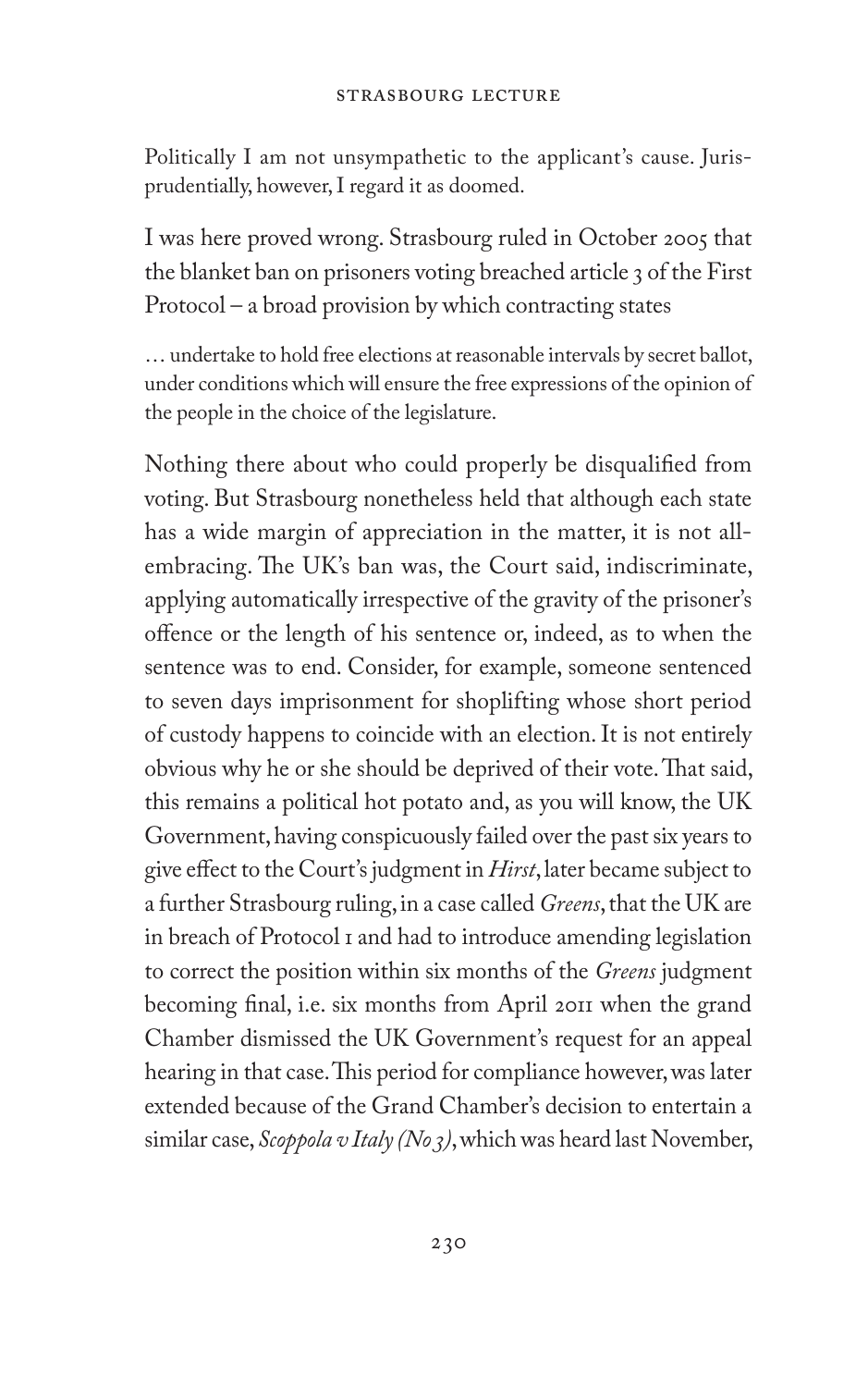Politically I am not unsympathetic to the applicant's cause. Jurisprudentially, however, I regard it as doomed.

I was here proved wrong. Strasbourg ruled in October 2005 that the blanket ban on prisoners voting breached article 3 of the First Protocol – a broad provision by which contracting states

… undertake to hold free elections at reasonable intervals by secret ballot, under conditions which will ensure the free expressions of the opinion of the people in the choice of the legislature.

Nothing there about who could properly be disqualified from voting. But Strasbourg nonetheless held that although each state has a wide margin of appreciation in the matter, it is not allembracing. The UK's ban was, the Court said, indiscriminate, applying automatically irrespective of the gravity of the prisoner's offence or the length of his sentence or, indeed, as to when the sentence was to end. Consider, for example, someone sentenced to seven days imprisonment for shoplifting whose short period of custody happens to coincide with an election. It is not entirely obvious why he or she should be deprived of their vote. That said, this remains a political hot potato and, as you will know, the UK Government, having conspicuously failed over the past six years to give effect to the Court's judgment in *Hirst*, later became subject to a further Strasbourg ruling, in a case called *Greens*, that the UK are in breach of Protocol 1 and had to introduce amending legislation to correct the position within six months of the *Greens* judgment becoming final, i.e. six months from April 2011 when the grand Chamber dismissed the UK Government's request for an appeal hearing in that case. This period for compliance however, was later extended because of the Grand Chamber's decision to entertain a similar case, *Scoppola v Italy (No 3)*, which was heard last November,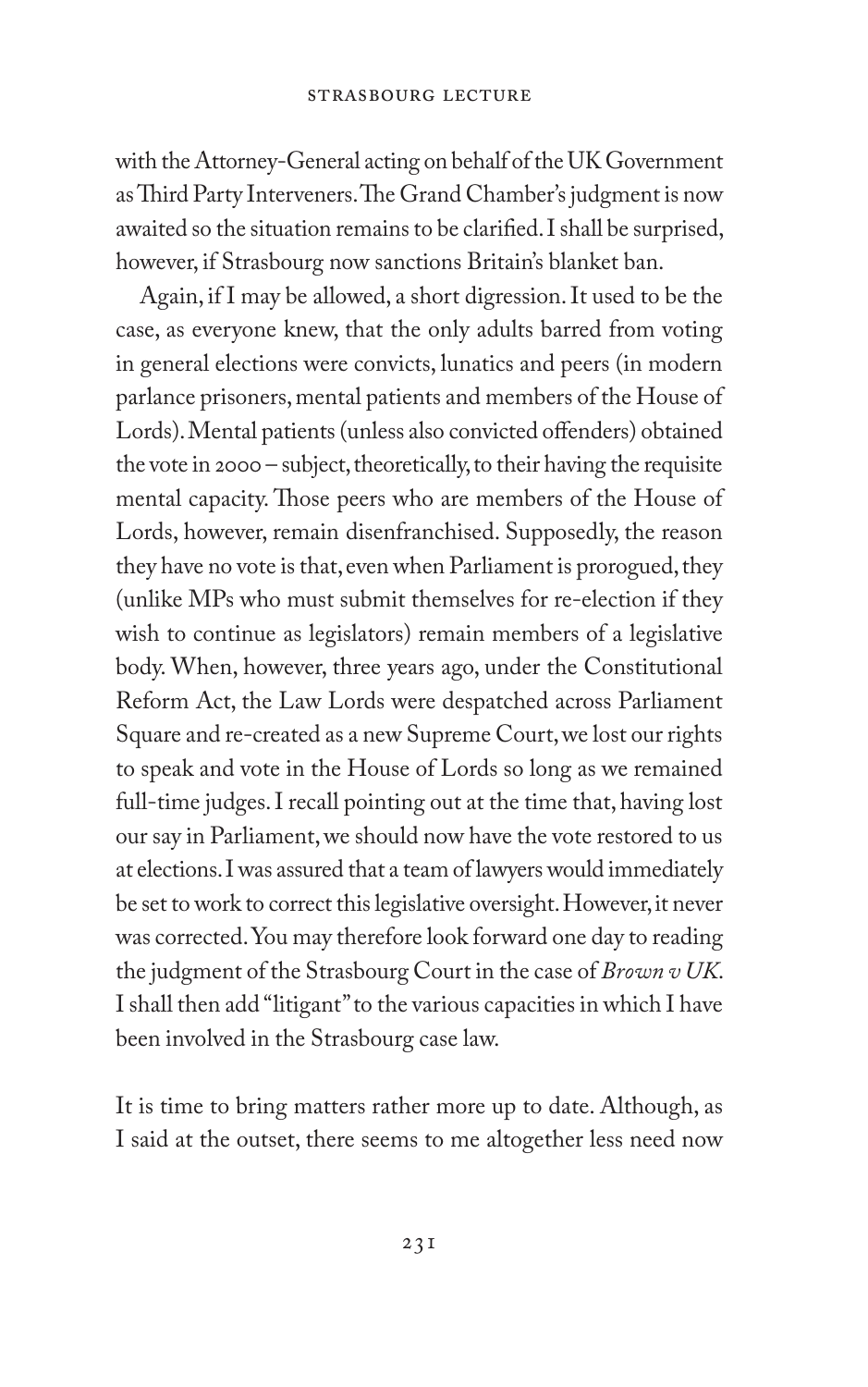with the Attorney-General acting on behalf of the UK Government as Third Party Interveners. The Grand Chamber's judgment is now awaited so the situation remains to be clarified. I shall be surprised, however, if Strasbourg now sanctions Britain's blanket ban.

Again, if I may be allowed, a short digression. It used to be the case, as everyone knew, that the only adults barred from voting in general elections were convicts, lunatics and peers (in modern parlance prisoners, mental patients and members of the House of Lords). Mental patients (unless also convicted offenders) obtained the vote in 2000 – subject, theoretically, to their having the requisite mental capacity. Those peers who are members of the House of Lords, however, remain disenfranchised. Supposedly, the reason they have no vote is that, even when Parliament is prorogued, they (unlike MPs who must submit themselves for re-election if they wish to continue as legislators) remain members of a legislative body. When, however, three years ago, under the Constitutional Reform Act, the Law Lords were despatched across Parliament Square and re-created as a new Supreme Court, we lost our rights to speak and vote in the House of Lords so long as we remained full-time judges. I recall pointing out at the time that, having lost our say in Parliament, we should now have the vote restored to us at elections. I was assured that a team of lawyers would immediately be set to work to correct this legislative oversight. However, it never was corrected. You may therefore look forward one day to reading the judgment of the Strasbourg Court in the case of *Brown v UK*. I shall then add "litigant" to the various capacities in which I have been involved in the Strasbourg case law.

It is time to bring matters rather more up to date. Although, as I said at the outset, there seems to me altogether less need now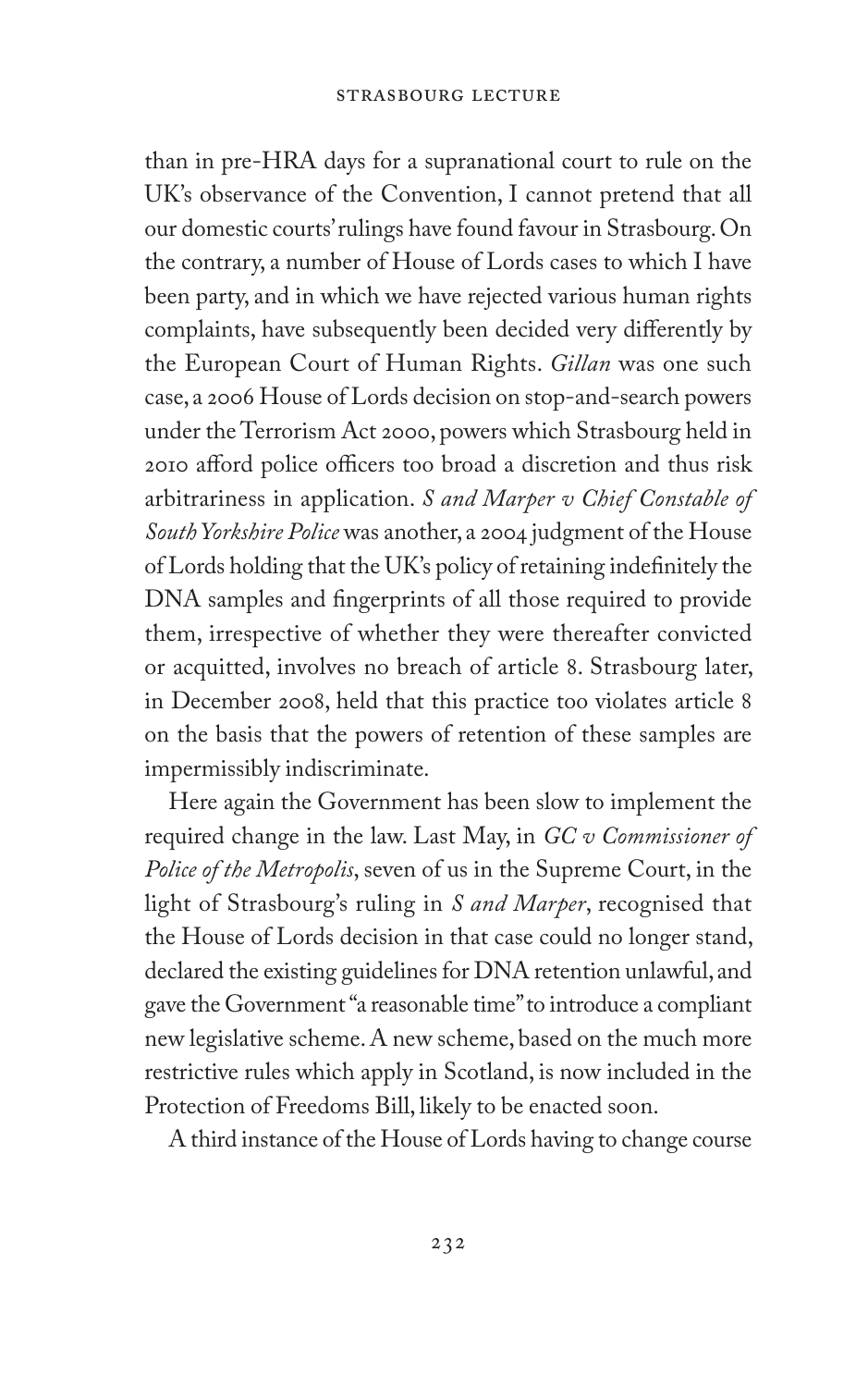than in pre-HRA days for a supranational court to rule on the UK's observance of the Convention, I cannot pretend that all our domestic courts' rulings have found favour in Strasbourg. On the contrary, a number of House of Lords cases to which I have been party, and in which we have rejected various human rights complaints, have subsequently been decided very differently by the European Court of Human Rights. *Gillan* was one such case, a 2006 House of Lords decision on stop-and-search powers under the Terrorism Act 2000, powers which Strasbourg held in 2010 afford police officers too broad a discretion and thus risk arbitrariness in application. *S and Marper v Chief Constable of South Yorkshire Police* was another, a 2004 judgment of the House of Lords holding that the UK's policy of retaining indefinitely the DNA samples and fingerprints of all those required to provide them, irrespective of whether they were thereafter convicted or acquitted, involves no breach of article 8. Strasbourg later, in December 2008, held that this practice too violates article 8 on the basis that the powers of retention of these samples are impermissibly indiscriminate.

Here again the Government has been slow to implement the required change in the law. Last May, in *GC v Commissioner of Police of the Metropolis*, seven of us in the Supreme Court, in the light of Strasbourg's ruling in *S and Marper*, recognised that the House of Lords decision in that case could no longer stand, declared the existing guidelines for DNA retention unlawful, and gave the Government "a reasonable time" to introduce a compliant new legislative scheme. A new scheme, based on the much more restrictive rules which apply in Scotland, is now included in the Protection of Freedoms Bill, likely to be enacted soon.

A third instance of the House of Lords having to change course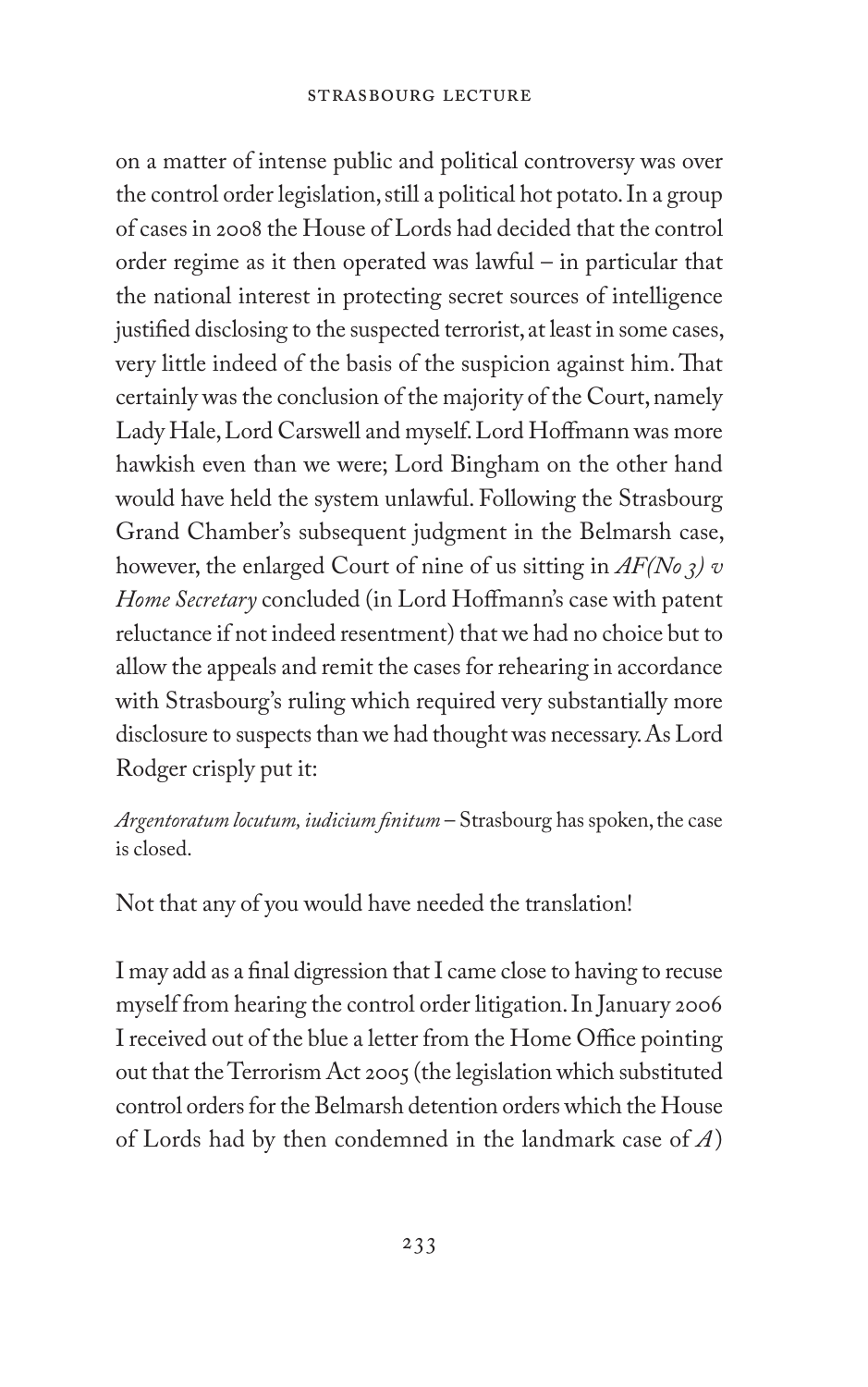on a matter of intense public and political controversy was over the control order legislation, still a political hot potato. In a group of cases in 2008 the House of Lords had decided that the control order regime as it then operated was lawful – in particular that the national interest in protecting secret sources of intelligence justified disclosing to the suspected terrorist, at least in some cases, very little indeed of the basis of the suspicion against him. That certainly was the conclusion of the majority of the Court, namely Lady Hale, Lord Carswell and myself. Lord Hoffmann was more hawkish even than we were; Lord Bingham on the other hand would have held the system unlawful. Following the Strasbourg Grand Chamber's subsequent judgment in the Belmarsh case, however, the enlarged Court of nine of us sitting in *AF(No 3) v Home Secretary* concluded (in Lord Hoffmann's case with patent reluctance if not indeed resentment) that we had no choice but to allow the appeals and remit the cases for rehearing in accordance with Strasbourg's ruling which required very substantially more disclosure to suspects than we had thought was necessary. As Lord Rodger crisply put it:

*Argentoratum locutum, iudicium finitum* – Strasbourg has spoken, the case is closed.

Not that any of you would have needed the translation!

I may add as a final digression that I came close to having to recuse myself from hearing the control order litigation. In January 2006 I received out of the blue a letter from the Home Office pointing out that the Terrorism Act 2005 (the legislation which substituted control orders for the Belmarsh detention orders which the House of Lords had by then condemned in the landmark case of *A*)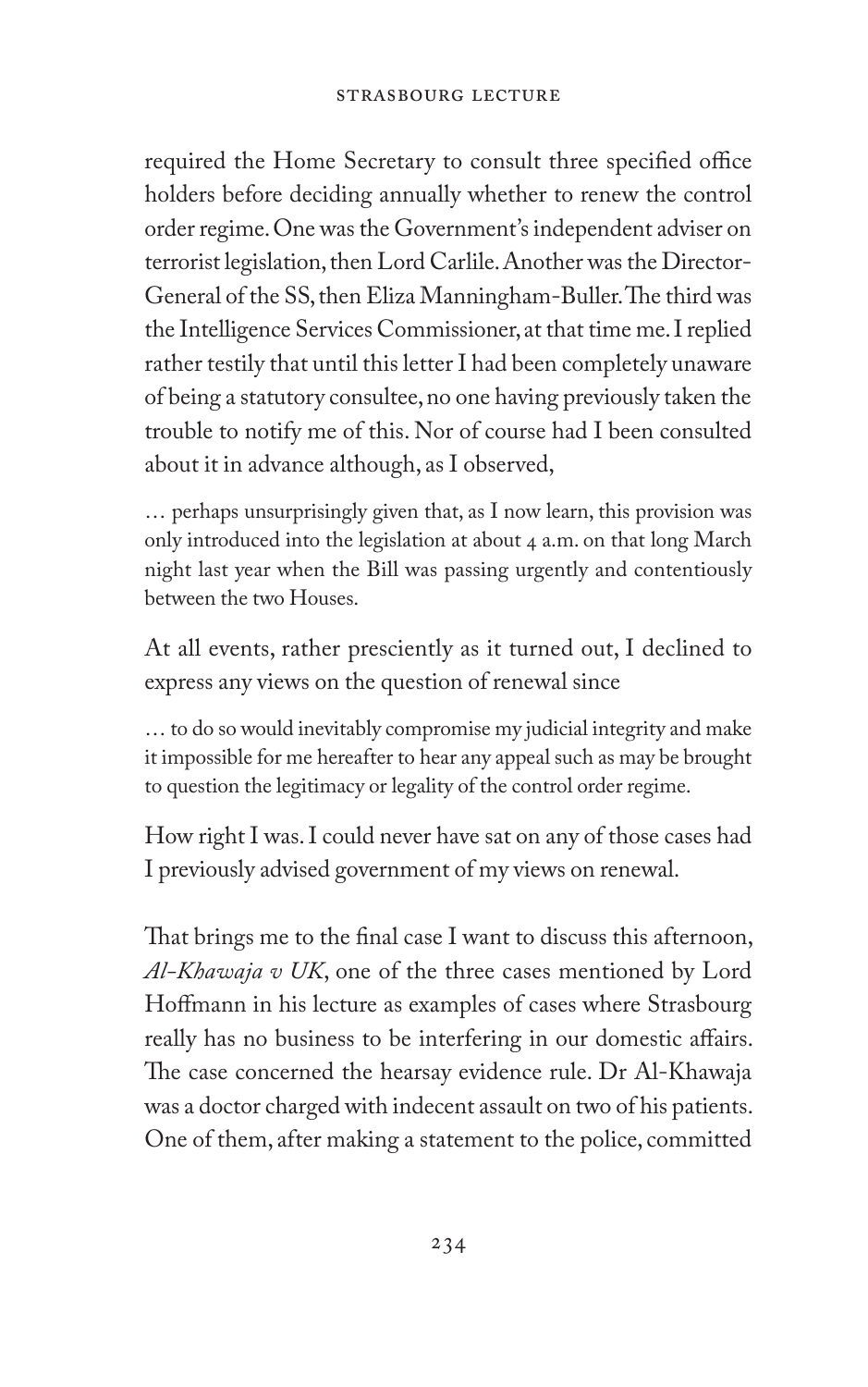required the Home Secretary to consult three specified office holders before deciding annually whether to renew the control order regime. One was the Government's independent adviser on terrorist legislation, then Lord Carlile. Another was the Director-General of the SS, then Eliza Manningham-Buller. The third was the Intelligence Services Commissioner, at that time me. I replied rather testily that until this letter I had been completely unaware of being a statutory consultee, no one having previously taken the trouble to notify me of this. Nor of course had I been consulted about it in advance although, as I observed,

… perhaps unsurprisingly given that, as I now learn, this provision was only introduced into the legislation at about 4 a.m. on that long March night last year when the Bill was passing urgently and contentiously between the two Houses.

At all events, rather presciently as it turned out, I declined to express any views on the question of renewal since

… to do so would inevitably compromise my judicial integrity and make it impossible for me hereafter to hear any appeal such as may be brought to question the legitimacy or legality of the control order regime.

How right I was. I could never have sat on any of those cases had I previously advised government of my views on renewal.

That brings me to the final case I want to discuss this afternoon, *Al-Khawaja v UK*, one of the three cases mentioned by Lord Hoffmann in his lecture as examples of cases where Strasbourg really has no business to be interfering in our domestic affairs. The case concerned the hearsay evidence rule. Dr Al-Khawaja was a doctor charged with indecent assault on two of his patients. One of them, after making a statement to the police, committed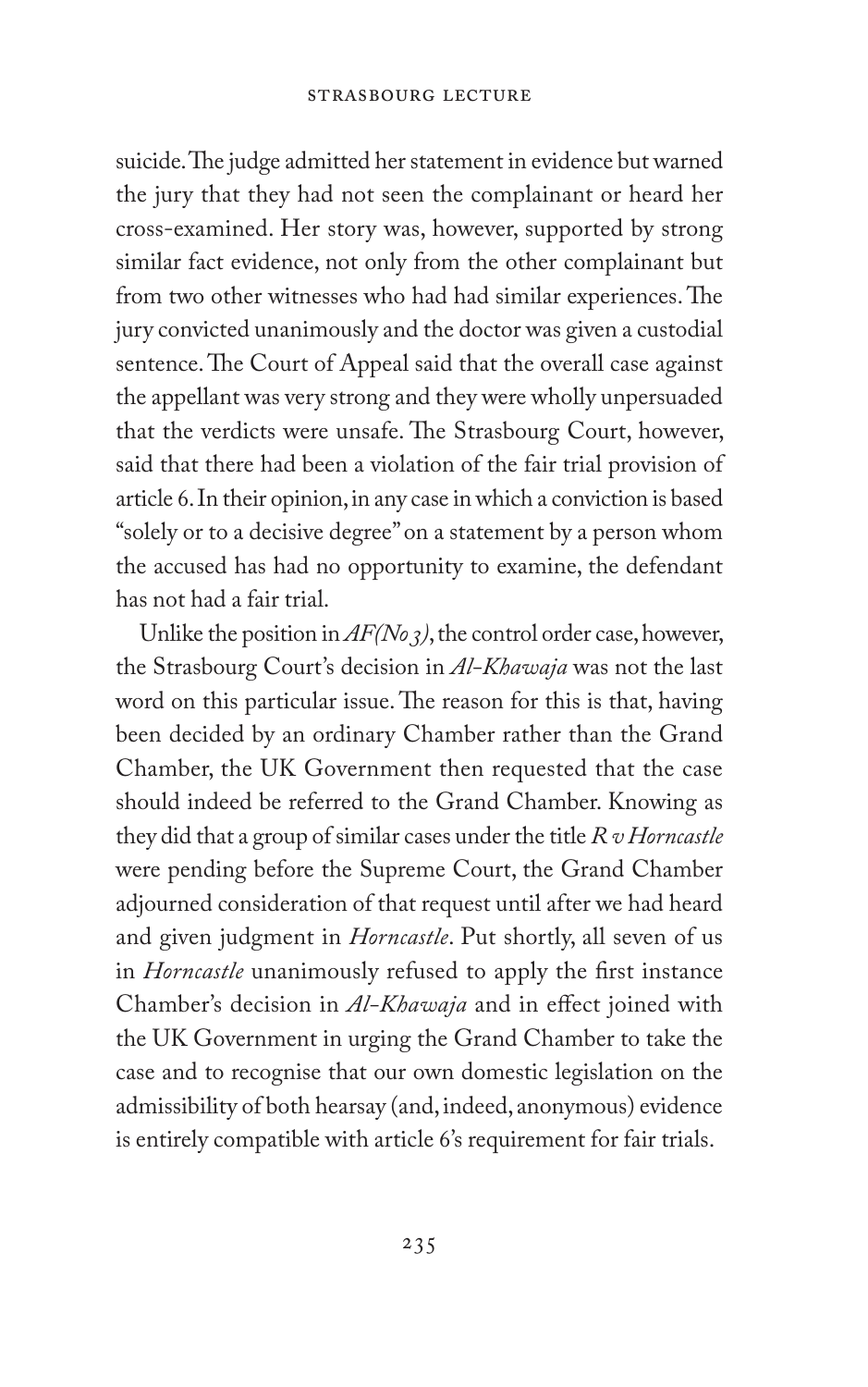suicide. The judge admitted her statement in evidence but warned the jury that they had not seen the complainant or heard her cross-examined. Her story was, however, supported by strong similar fact evidence, not only from the other complainant but from two other witnesses who had had similar experiences. The jury convicted unanimously and the doctor was given a custodial sentence. The Court of Appeal said that the overall case against the appellant was very strong and they were wholly unpersuaded that the verdicts were unsafe. The Strasbourg Court, however, said that there had been a violation of the fair trial provision of article 6. In their opinion, in any case in which a conviction is based "solely or to a decisive degree" on a statement by a person whom the accused has had no opportunity to examine, the defendant has not had a fair trial.

Unlike the position in *AF(No 3)*, the control order case, however, the Strasbourg Court's decision in *Al-Khawaja* was not the last word on this particular issue. The reason for this is that, having been decided by an ordinary Chamber rather than the Grand Chamber, the UK Government then requested that the case should indeed be referred to the Grand Chamber. Knowing as they did that a group of similar cases under the title *R v Horncastle* were pending before the Supreme Court, the Grand Chamber adjourned consideration of that request until after we had heard and given judgment in *Horncastle*. Put shortly, all seven of us in *Horncastle* unanimously refused to apply the first instance Chamber's decision in *Al-Khawaja* and in effect joined with the UK Government in urging the Grand Chamber to take the case and to recognise that our own domestic legislation on the admissibility of both hearsay (and, indeed, anonymous) evidence is entirely compatible with article 6's requirement for fair trials.